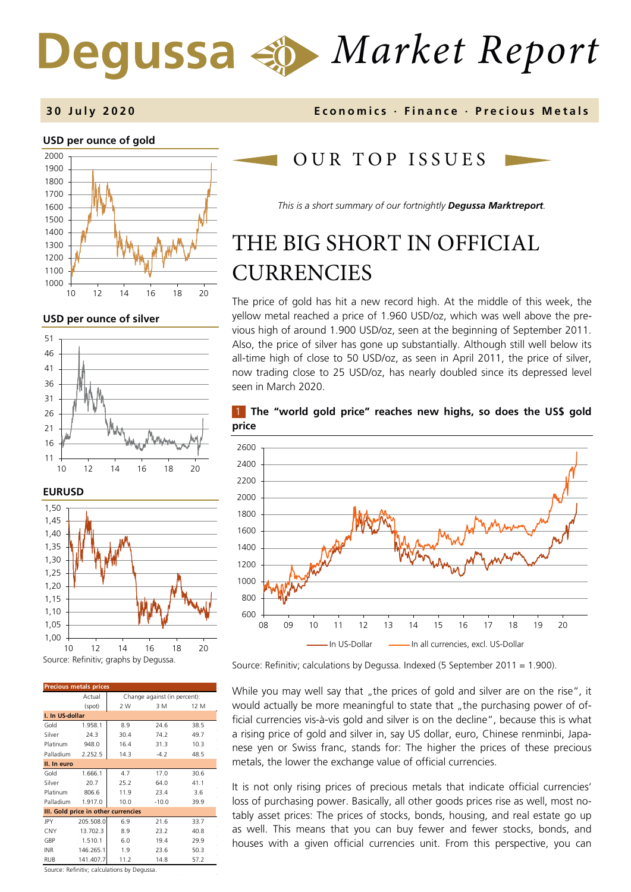# *Market Report*

# **3 0 July 2020 Economics · Finance · Precious M etals**

## **USD per ounce of gold**



**USD per ounce of silver** 





| <b>Precious metals prices</b>       |           |                              |         |      |  |
|-------------------------------------|-----------|------------------------------|---------|------|--|
|                                     | Actual    | Change against (in percent): |         |      |  |
|                                     | (spot)    | 2 W                          | 3 M     | 12 M |  |
| I. In US-dollar                     |           |                              |         |      |  |
| Gold                                | 1.958.1   | 8.9                          | 24.6    | 38.5 |  |
| Silver                              | 24.3      | 30.4                         | 74.2    | 49.7 |  |
| Platinum                            | 948.0     | 16.4                         | 31.3    | 10.3 |  |
| Palladium                           | 2.252.5   | 14.3                         | $-4.2$  | 48.5 |  |
| II. In euro                         |           |                              |         |      |  |
| Gold                                | 1.666.1   | 4.7                          | 17.0    | 30.6 |  |
| Silver                              | 20.7      | 25.2                         | 64.0    | 41.1 |  |
| Platinum                            | 806.6     | 11.9                         | 23.4    | 3.6  |  |
| Palladium                           | 1.917.0   | 10.0                         | $-10.0$ | 39.9 |  |
| III. Gold price in other currencies |           |                              |         |      |  |
| JPY                                 | 205.508.0 | 6.9                          | 21.6    | 33.7 |  |
| CNY                                 | 13.702.3  | 8.9                          | 23.2    | 40.8 |  |
| GBP                                 | 1.510.1   | 6.0                          | 19.4    | 29.9 |  |
| <b>INR</b>                          | 146.265.1 | 1.9                          | 23.6    | 50.3 |  |
| <b>RUB</b>                          | 141.407.7 | 11.2                         | 14.8    | 57.2 |  |

Source: Refinitiv; calculations by Degussa.

# OUR TOP ISSUE S

*This is a short summary of our fortnightly Degussa Marktreport.*

# THE BIG SHORT IN OFFICIAL **CURRENCIES**

The price of gold has hit a new record high. At the middle of this week, the yellow metal reached a price of 1.960 USD/oz, which was well above the previous high of around 1.900 USD/oz, seen at the beginning of September 2011. Also, the price of silver has gone up substantially. Although still well below its all-time high of close to 50 USD/oz, as seen in April 2011, the price of silver, now trading close to 25 USD/oz, has nearly doubled since its depressed level seen in March 2020.

## 1 **The "world gold price" reaches new highs, so does the US\$ gold price**



Source: Refinitiv; calculations by Degussa. Indexed (5 September 2011 = 1.900).

While you may well say that "the prices of gold and silver are on the rise", it would actually be more meaningful to state that "the purchasing power of official currencies vis-à-vis gold and silver is on the decline", because this is what a rising price of gold and silver in, say US dollar, euro, Chinese renminbi, Japanese yen or Swiss franc, stands for: The higher the prices of these precious metals, the lower the exchange value of official currencies.

It is not only rising prices of precious metals that indicate official currencies' loss of purchasing power. Basically, all other goods prices rise as well, most notably asset prices: The prices of stocks, bonds, housing, and real estate go up as well. This means that you can buy fewer and fewer stocks, bonds, and houses with a given official currencies unit. From this perspective, you can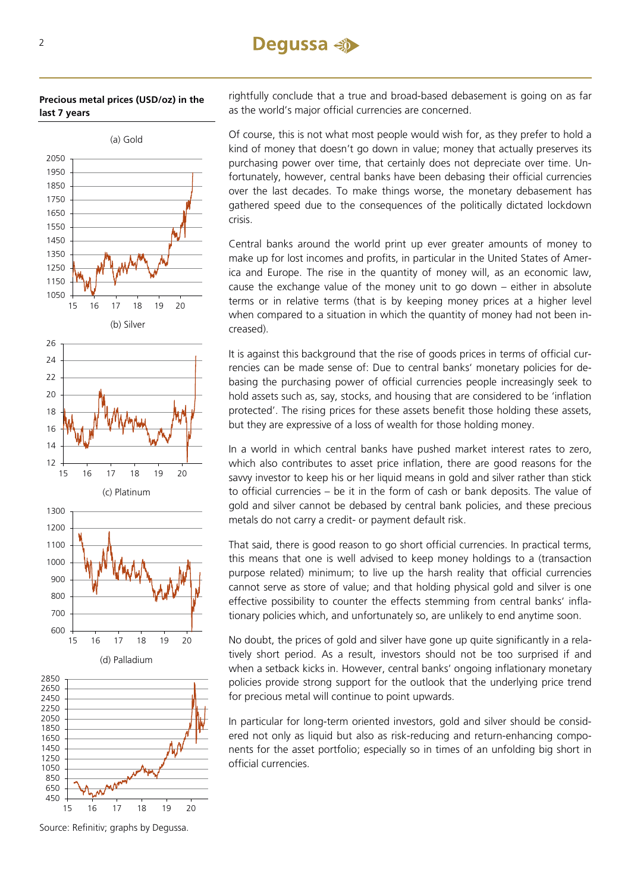# **Dequssa** < →

## **Precious metal prices (USD/oz) in the last 7 years**



Source: Refinitiv; graphs by Degussa.

rightfully conclude that a true and broad-based debasement is going on as far as the world's major official currencies are concerned.

Of course, this is not what most people would wish for, as they prefer to hold a kind of money that doesn't go down in value; money that actually preserves its purchasing power over time, that certainly does not depreciate over time. Unfortunately, however, central banks have been debasing their official currencies over the last decades. To make things worse, the monetary debasement has gathered speed due to the consequences of the politically dictated lockdown crisis.

Central banks around the world print up ever greater amounts of money to make up for lost incomes and profits, in particular in the United States of America and Europe. The rise in the quantity of money will, as an economic law, cause the exchange value of the money unit to go down – either in absolute terms or in relative terms (that is by keeping money prices at a higher level when compared to a situation in which the quantity of money had not been increased).

It is against this background that the rise of goods prices in terms of official currencies can be made sense of: Due to central banks' monetary policies for debasing the purchasing power of official currencies people increasingly seek to hold assets such as, say, stocks, and housing that are considered to be 'inflation protected'. The rising prices for these assets benefit those holding these assets, but they are expressive of a loss of wealth for those holding money.

In a world in which central banks have pushed market interest rates to zero, which also contributes to asset price inflation, there are good reasons for the savvy investor to keep his or her liquid means in gold and silver rather than stick to official currencies – be it in the form of cash or bank deposits. The value of gold and silver cannot be debased by central bank policies, and these precious metals do not carry a credit- or payment default risk.

That said, there is good reason to go short official currencies. In practical terms, this means that one is well advised to keep money holdings to a (transaction purpose related) minimum; to live up the harsh reality that official currencies cannot serve as store of value; and that holding physical gold and silver is one effective possibility to counter the effects stemming from central banks' inflationary policies which, and unfortunately so, are unlikely to end anytime soon.

No doubt, the prices of gold and silver have gone up quite significantly in a relatively short period. As a result, investors should not be too surprised if and when a setback kicks in. However, central banks' ongoing inflationary monetary policies provide strong support for the outlook that the underlying price trend for precious metal will continue to point upwards.

In particular for long-term oriented investors, gold and silver should be considered not only as liquid but also as risk-reducing and return-enhancing components for the asset portfolio; especially so in times of an unfolding big short in official currencies.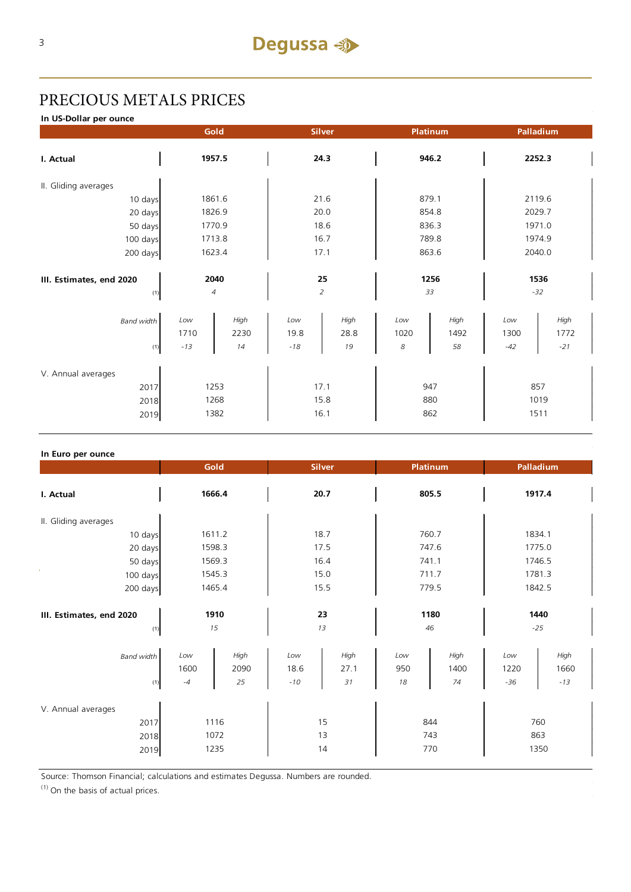# PRECIOUS METALS PRICES

**In US-Dollar per ounce**

|                                            | Gold                              |      | <b>Silver</b>        |      | <b>Platinum</b>   |      | Palladium           |       |
|--------------------------------------------|-----------------------------------|------|----------------------|------|-------------------|------|---------------------|-------|
| I. Actual                                  | 1957.5                            |      | 24.3                 |      | 946.2             |      | 2252.3              |       |
| II. Gliding averages                       |                                   |      |                      |      |                   |      |                     |       |
| 10 days                                    | 1861.6                            |      | 21.6                 |      | 879.1             |      | 2119.6              |       |
| 20 days                                    | 1826.9                            |      | 20.0                 |      | 854.8             |      | 2029.7              |       |
| 50 days                                    | 1770.9                            |      | 18.6                 |      | 836.3             |      | 1971.0              |       |
| 100 days                                   | 1713.8                            |      | 16.7                 |      | 789.8             |      | 1974.9              |       |
| 200 days                                   | 1623.4                            |      | 17.1                 |      | 863.6             |      | 2040.0              |       |
| III. Estimates, end 2020<br>(1)            | 2040<br>25<br>2<br>$\overline{4}$ |      | 1256<br>33           |      | 1536<br>$-32$     |      |                     |       |
| <b>Band width</b>                          | Low                               | High | Low                  | High | Low               | High | Low                 | High  |
|                                            | 1710                              | 2230 | 19.8                 | 28.8 | 1020              | 1492 | 1300                | 1772  |
| (1)                                        | $-13$                             | 14   | $-18$                | 19   | 8                 | 58   | $-42$               | $-21$ |
| V. Annual averages<br>2017<br>2018<br>2019 | 1253<br>1268<br>1382              |      | 17.1<br>15.8<br>16.1 |      | 947<br>880<br>862 |      | 857<br>1019<br>1511 |       |

| In Euro per ounce               |                     |                    |                      |                    |                  |                    |                      |                       |
|---------------------------------|---------------------|--------------------|----------------------|--------------------|------------------|--------------------|----------------------|-----------------------|
|                                 | Gold                |                    | <b>Silver</b>        |                    | <b>Platinum</b>  |                    | Palladium            |                       |
| I. Actual                       | 1666.4              |                    | 20.7                 |                    | 805.5            |                    | 1917.4               |                       |
| II. Gliding averages            |                     |                    |                      |                    |                  |                    |                      |                       |
| 10 days                         | 1611.2              |                    | 18.7                 |                    | 760.7            |                    | 1834.1               |                       |
| 20 days                         | 1598.3              |                    | 17.5                 |                    | 747.6            |                    | 1775.0               |                       |
| 50 days                         | 1569.3              |                    | 16.4                 |                    | 741.1            |                    | 1746.5               |                       |
| $100 \text{ days}$              | 1545.3              |                    | 15.0                 |                    | 711.7            |                    | 1781.3               |                       |
| 200 days                        | 1465.4              |                    | 15.5                 |                    | 779.5            |                    | 1842.5               |                       |
| III. Estimates, end 2020<br>(1) | 1910<br>15          |                    | 23<br>13             |                    | 1180<br>46       |                    | 1440<br>$-25$        |                       |
| <b>Band width</b><br>(1)        | Low<br>1600<br>$-4$ | High<br>2090<br>25 | Low<br>18.6<br>$-10$ | High<br>27.1<br>31 | Low<br>950<br>18 | High<br>1400<br>74 | Low<br>1220<br>$-36$ | High<br>1660<br>$-13$ |
| V. Annual averages<br>2017      |                     | 1116               |                      | 15                 |                  | 844                |                      | 760                   |
| 2018                            | 1072                |                    | 13                   |                    | 743              |                    | 863                  |                       |
| 2019                            | 1235                |                    | 14                   |                    | 770              |                    | 1350                 |                       |

Source: Thomson Financial; calculations and estimates Degussa. Numbers are rounded.

(1) On the basis of actual prices.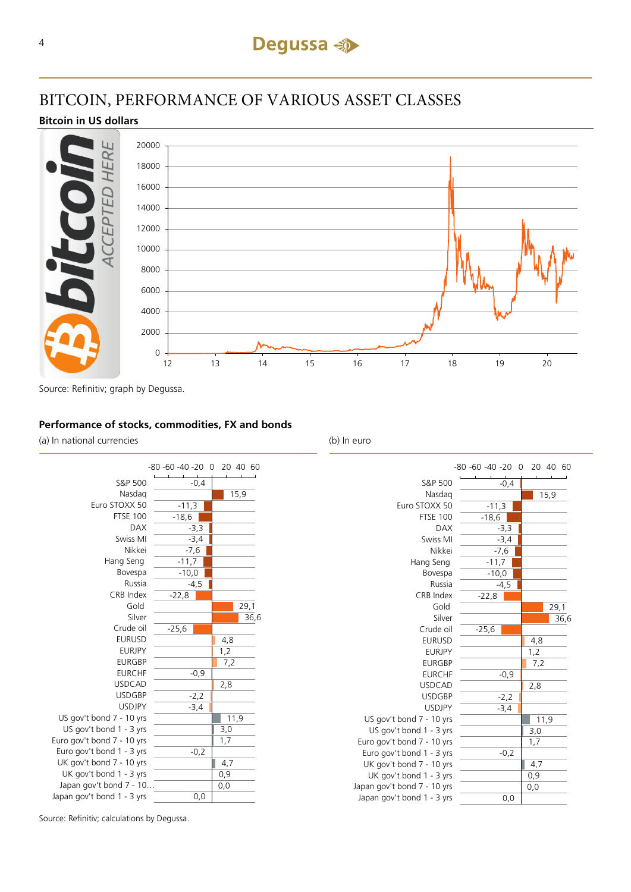

# BITCOIN, PERFORMANCE OF VARIOUS ASSET CLASSES

**Bitcoin in US dollars**



Source: Refinitiv; graph by Degussa.

## **Performance of stocks, commodities, FX and bonds**

(a) In national currencies (b) In euro



15,9  $-11,3$  $-18,6$ -3,3 -3,4  $-7,6$  $-11,7$  $-10,0$ -4,5  $-22,8$  $29.1$ 36,6  $-25,6$ 4,8  $1,2$ 7,2 -0,9 2,8  $-2.2$ -3,4 11,9 3,0 1,7  $-0,2$ 4,7 0,9 0,0 0,0 Nasdaq Euro STOXX 50 FTSE 100 DAX Swiss MI Nikkei Hang Seng Bovespa Russia CRB Index Gold Silver Crude oil EURUSD EURJPY EURGBP EURCHF USDCAD USDGBP USDJPY US gov't bond 7 - 10 yrs US gov't bond 1 - 3 yrs Euro gov't bond 7 - 10 yrs Euro gov't bond 1 - 3 yrs UK gov't bond 7 - 10 yrs UK gov't bond 1 - 3 yrs Japan gov't bond 7 - 10 yrs Japan gov't bond 1 - 3 yrs

S&P 500

 $-0,4$ 

-80 -60 -40 -20 0 20 40 60

Source: Refinitiv; calculations by Degussa.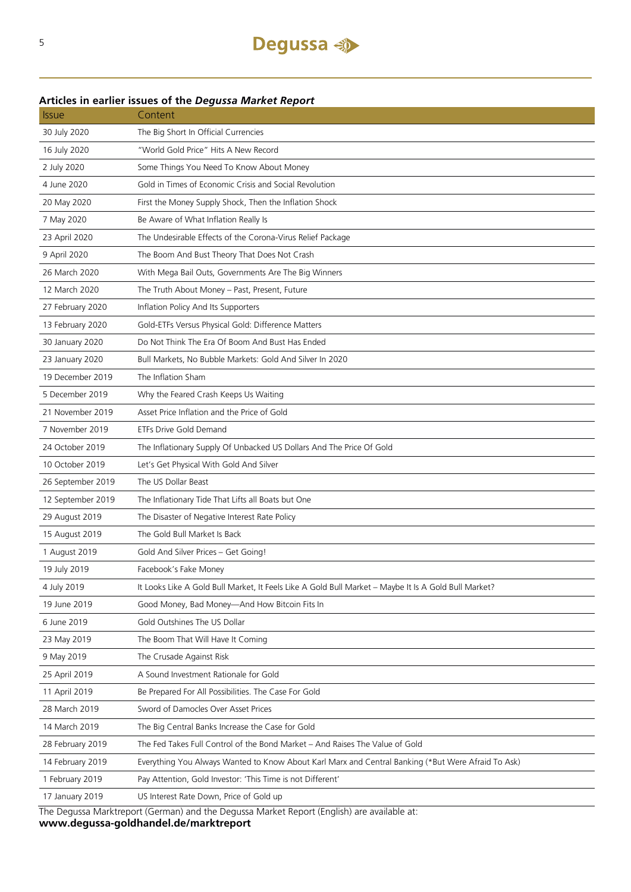# **Articles in earlier issues of the** *Degussa Market Report*

| <b>Issue</b>      | Content                                                                                              |
|-------------------|------------------------------------------------------------------------------------------------------|
| 30 July 2020      | The Big Short In Official Currencies                                                                 |
| 16 July 2020      | "World Gold Price" Hits A New Record                                                                 |
| 2 July 2020       | Some Things You Need To Know About Money                                                             |
| 4 June 2020       | Gold in Times of Economic Crisis and Social Revolution                                               |
| 20 May 2020       | First the Money Supply Shock, Then the Inflation Shock                                               |
| 7 May 2020        | Be Aware of What Inflation Really Is                                                                 |
| 23 April 2020     | The Undesirable Effects of the Corona-Virus Relief Package                                           |
| 9 April 2020      | The Boom And Bust Theory That Does Not Crash                                                         |
| 26 March 2020     | With Mega Bail Outs, Governments Are The Big Winners                                                 |
| 12 March 2020     | The Truth About Money - Past, Present, Future                                                        |
| 27 February 2020  | Inflation Policy And Its Supporters                                                                  |
| 13 February 2020  | Gold-ETFs Versus Physical Gold: Difference Matters                                                   |
| 30 January 2020   | Do Not Think The Era Of Boom And Bust Has Ended                                                      |
| 23 January 2020   | Bull Markets, No Bubble Markets: Gold And Silver In 2020                                             |
| 19 December 2019  | The Inflation Sham                                                                                   |
| 5 December 2019   | Why the Feared Crash Keeps Us Waiting                                                                |
| 21 November 2019  | Asset Price Inflation and the Price of Gold                                                          |
| 7 November 2019   | ETFs Drive Gold Demand                                                                               |
| 24 October 2019   | The Inflationary Supply Of Unbacked US Dollars And The Price Of Gold                                 |
| 10 October 2019   | Let's Get Physical With Gold And Silver                                                              |
| 26 September 2019 | The US Dollar Beast                                                                                  |
| 12 September 2019 | The Inflationary Tide That Lifts all Boats but One                                                   |
| 29 August 2019    | The Disaster of Negative Interest Rate Policy                                                        |
| 15 August 2019    | The Gold Bull Market Is Back                                                                         |
| 1 August 2019     | Gold And Silver Prices - Get Going!                                                                  |
| 19 July 2019      | Facebook's Fake Money                                                                                |
| 4 July 2019       | It Looks Like A Gold Bull Market, It Feels Like A Gold Bull Market - Maybe It Is A Gold Bull Market? |
| 19 June 2019      | Good Money, Bad Money-And How Bitcoin Fits In                                                        |
| 6 June 2019       | Gold Outshines The US Dollar                                                                         |
| 23 May 2019       | The Boom That Will Have It Coming                                                                    |
| 9 May 2019        | The Crusade Against Risk                                                                             |
| 25 April 2019     | A Sound Investment Rationale for Gold                                                                |
| 11 April 2019     | Be Prepared For All Possibilities. The Case For Gold                                                 |
| 28 March 2019     | Sword of Damocles Over Asset Prices                                                                  |
| 14 March 2019     | The Big Central Banks Increase the Case for Gold                                                     |
| 28 February 2019  | The Fed Takes Full Control of the Bond Market - And Raises The Value of Gold                         |
| 14 February 2019  | Everything You Always Wanted to Know About Karl Marx and Central Banking (*But Were Afraid To Ask)   |
| 1 February 2019   | Pay Attention, Gold Investor: 'This Time is not Different'                                           |
| 17 January 2019   | US Interest Rate Down, Price of Gold up                                                              |

The Degussa Marktreport (German) and the Degussa Market Report (English) are available at:

**www.degussa-goldhandel.de/marktreport**